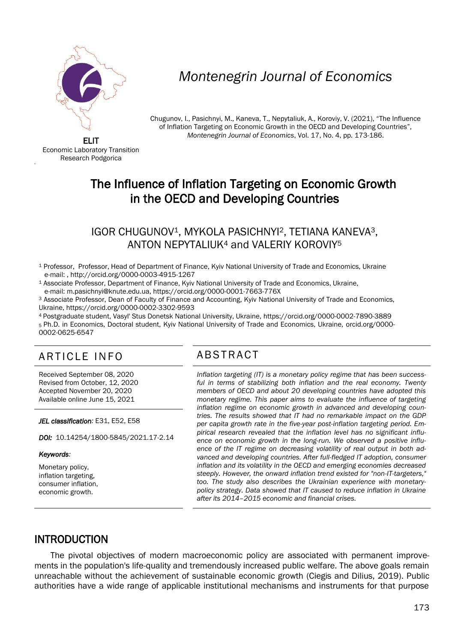

# *Montenegrin Journal of Economics*

Chugunov, I., Pasichnyi, M., Kaneva, T., Nepytaliuk, A., Koroviy, V. (2021), "The Influence of Inflation Targeting on Economic Growth in the OECD and Developing Countries", *Montenegrin Journal of Economics*, Vol. 17, No. 4, pp. 173-186.

ELIT Economic Laboratory Transition Research Podgorica

'

## The Influence of Inflation Targeting on Economic Growth in the OECD and Developing Countries

#### IGOR CHUGUNOV1, MYKOLA PASICHNYI2, TETIANA KANEVA3, ANTON NEPYTALIUK<sup>4</sup> and VALERIY KOROVIY<sup>5</sup>

- <sup>1</sup> Professor, Professor, Head of Department of Finance, Kyiv National University of Trade and Economics, Ukraine e-mail: , http://orcid.org/0000-0003-4915-1267
- <sup>1</sup> Associate Professor, Department of Finance, Kyiv National University of Trade and Economics, Ukraine, e-mail[: m.pasichnyi@knute.edu.ua,](mailto:m.pasichnyi@knute.edu.ua) https://orcid.org/0000-0001-7663-776X

<sup>3</sup> Associate Professor, Dean of Faculty of Finance and Accounting, Kyiv National University of Trade and Economics, Ukraine,<https://orcid.org/0000-0002-3302-9593>

<sup>4</sup> Postgraduate student, Vasyl' Stus Donetsk National University, Ukraine,<https://orcid.org/0000-0002-7890-3889> <sup>5</sup>Ph.D. in Economics, Doctoral student, Kyiv National University of Trade and Economics, Ukraine, orcid.org/0000- 0002-0625-6547

### ARTICLE INFO ABSTRACT

Received September 08, 2020 Revised from October, 12, 2020 Accepted November 20, 2020 Available online June 15, 2021

*JEL classification:* E31, E52, E58

*DOI:* 10.14254/1800-5845/2021.17-2.14

#### *Keywords:*

I

Monetary policy, inflation targeting, consumer inflation, economic growth.

 *Inflation targeting (IT) is a monetary policy regime that has been success*ful in terms of stabilizing both inflation and the real economy. Twenty *members of OECD and about 20 developing countries have adopted this monetary regime. This paper aims to evaluate the influence of targeting inflation regime on economic growth in advanced and developing countries. The results showed that IT had no remarkable impact on the GDP per capita growth rate in the five-year post-inflation targeting period. Empirical research revealed that the inflation level has no significant influence on economic growth in the long-run. We observed a positive influence of the IT regime on decreasing volatility of real output in both advanced and developing countries. After full-fledged IT adoption, consumer inflation and its volatility in the OECD and emerging economies decreased steeply. However, the onward inflation trend existed for "non-IT-targeters," too. The study also describes the Ukrainian experience with monetarypolicy strategy. Data showed that IT caused to reduce inflation in Ukraine after its 2014–2015 economic and financial crises.*

#### INTRODUCTION

The pivotal objectives of modern macroeconomic policy are associated with permanent improvements in the population's life-quality and tremendously increased public welfare. The above goals remain unreachable without the achievement of sustainable economic growth (Ciegis and Dilius, 2019). Public authorities have a wide range of applicable institutional mechanisms and instruments for that purpose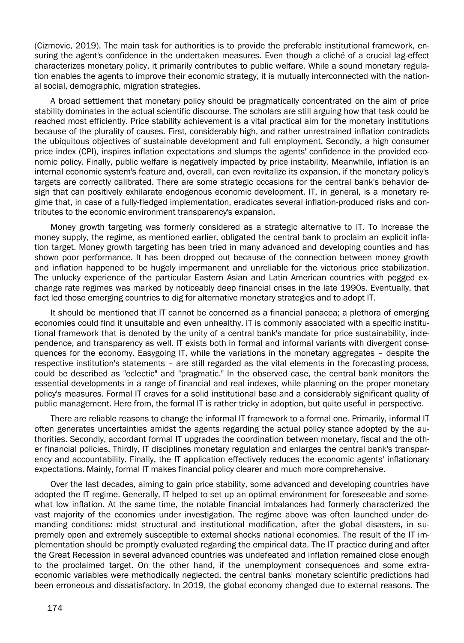(Cizmovic, 2019). The main task for authorities is to provide the preferable institutional framework, ensuring the agent's confidence in the undertaken measures. Even though a cliché of a crucial lag-effect characterizes monetary policy, it primarily contributes to public welfare. While a sound monetary regulation enables the agents to improve their economic strategy, it is mutually interconnected with the national social, demographic, migration strategies.

A broad settlement that monetary policy should be pragmatically concentrated on the aim of price stability dominates in the actual scientific discourse. The scholars are still arguing how that task could be reached most efficiently. Price stability achievement is a vital practical aim for the monetary institutions because of the plurality of causes. First, considerably high, and rather unrestrained inflation contradicts the ubiquitous objectives of sustainable development and full employment. Secondly, a high consumer price index (CPI), inspires inflation expectations and slumps the agents' confidence in the provided economic policy. Finally, public welfare is negatively impacted by price instability. Meanwhile, inflation is an internal economic system's feature and, overall, can even revitalize its expansion, if the monetary policy's targets are correctly calibrated. There are some strategic occasions for the central bank's behavior design that can positively exhilarate endogenous economic development. IT, in general, is a monetary regime that, in case of a fully-fledged implementation, eradicates several inflation-produced risks and contributes to the economic environment transparency's expansion.

Money growth targeting was formerly considered as a strategic alternative to IT. To increase the money supply, the regime, as mentioned earlier, obligated the central bank to proclaim an explicit inflation target. Money growth targeting has been tried in many advanced and developing counties and has shown poor performance. It has been dropped out because of the connection between money growth and inflation happened to be hugely impermanent and unreliable for the victorious price stabilization. The unlucky experience of the particular Eastern Asian and Latin American countries with pegged exchange rate regimes was marked by noticeably deep financial crises in the late 1990s. Eventually, that fact led those emerging countries to dig for alternative monetary strategies and to adopt IT.

It should be mentioned that IT cannot be concerned as a financial panacea; a plethora of emerging economies could find it unsuitable and even unhealthy. IT is commonly associated with a specific institutional framework that is denoted by the unity of a central bank's mandate for price sustainability, independence, and transparency as well. IT exists both in formal and informal variants with divergent consequences for the economy. Easygoing IT, while the variations in the monetary aggregates – despite the respective institution's statements – are still regarded as the vital elements in the forecasting process, could be described as "eclectic" and "pragmatic." In the observed case, the central bank monitors the essential developments in a range of financial and real indexes, while planning on the proper monetary policy's measures. Formal IT craves for a solid institutional base and a considerably significant quality of public management. Here from, the formal IT is rather tricky in adoption, but quite useful in perspective.

There are reliable reasons to change the informal IT framework to a formal one. Primarily, informal IT often generates uncertainties amidst the agents regarding the actual policy stance adopted by the authorities. Secondly, accordant formal IT upgrades the coordination between monetary, fiscal and the other financial policies. Thirdly, IT disciplines monetary regulation and enlarges the central bank's transparency and accountability. Finally, the IT application effectively reduces the economic agents' inflationary expectations. Mainly, formal IT makes financial policy clearer and much more comprehensive.

Over the last decades, aiming to gain price stability, some advanced and developing countries have adopted the IT regime. Generally, IT helped to set up an optimal environment for foreseeable and somewhat low inflation. At the same time, the notable financial imbalances had formerly characterized the vast majority of the economies under investigation. The regime above was often launched under demanding conditions: midst structural and institutional modification, after the global disasters, in supremely open and extremely susceptible to external shocks national economies. The result of the IT implementation should be promptly evaluated regarding the empirical data. The IT practice during and after the Great Recession in several advanced countries was undefeated and inflation remained close enough to the proclaimed target. On the other hand, if the unemployment consequences and some extraeconomic variables were methodically neglected, the central banks' monetary scientific predictions had been erroneous and dissatisfactory. In 2019, the global economy changed due to external reasons. The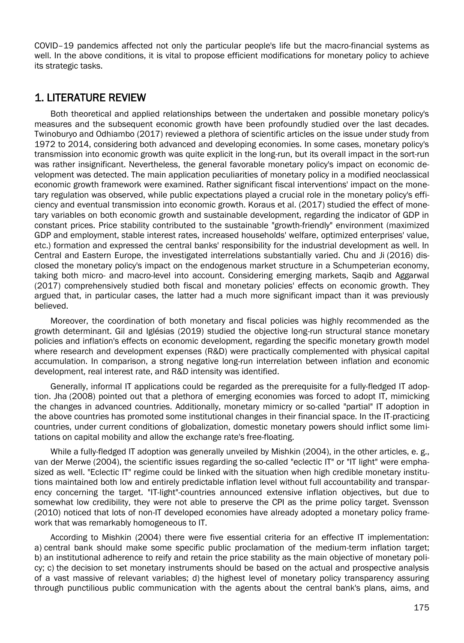COVID–19 pandemics affected not only the particular people's life but the macro-financial systems as well. In the above conditions, it is vital to propose efficient modifications for monetary policy to achieve its strategic tasks.

#### 1. LITERATURE REVIEW

Both theoretical and applied relationships between the undertaken and possible monetary policy's measures and the subsequent economic growth have been profoundly studied over the last decades. Twinoburyo and Odhiambo (2017) reviewed a plethora of scientific articles on the issue under study from 1972 to 2014, considering both advanced and developing economies. In some cases, monetary policy's transmission into economic growth was quite explicit in the long-run, but its overall impact in the sort-run was rather insignificant. Nevertheless, the general favorable monetary policy's impact on economic development was detected. The main application peculiarities of monetary policy in a modified neoclassical economic growth framework were examined. Rather significant fiscal interventions' impact on the monetary regulation was observed, while public expectations played a crucial role in the monetary policy's efficiency and eventual transmission into economic growth. Koraus et al. (2017) studied the effect of monetary variables on both economic growth and sustainable development, regarding the indicator of GDP in constant prices. Price stability contributed to the sustainable "growth-friendly" environment (maximized GDP and employment, stable interest rates, increased households' welfare, optimized enterprises' value, etc.) formation and expressed the central banks' responsibility for the industrial development as well. In Central and Eastern Europe, the investigated interrelations substantially varied. Chu and Ji (2016) disclosed the monetary policy's impact on the endogenous market structure in a Schumpeterian economy, taking both micro- and macro-level into account. Considering emerging markets, Saqib and Aggarwal (2017) comprehensively studied both fiscal and monetary policies' effects on economic growth. They argued that, in particular cases, the latter had a much more significant impact than it was previously believed.

Moreover, the coordination of both monetary and fiscal policies was highly recommended as the growth determinant. Gil and Iglésias (2019) studied the objective long-run structural stance monetary policies and inflation's effects on economic development, regarding the specific monetary growth model where research and development expenses (R&D) were practically complemented with physical capital accumulation. In comparison, a strong negative long-run interrelation between inflation and economic development, real interest rate, and R&D intensity was identified.

Generally, informal IT applications could be regarded as the prerequisite for a fully-fledged IT adoption. Jha (2008) pointed out that a plethora of emerging economies was forced to adopt IT, mimicking the changes in advanced countries. Additionally, monetary mimicry or so-called "partial" IT adoption in the above countries has promoted some institutional changes in their financial space. In the IT-practicing countries, under current conditions of globalization, domestic monetary powers should inflict some limitations on capital mobility and allow the exchange rate's free-floating.

While a fully-fledged IT adoption was generally unveiled by Mishkin (2004), in the other articles, e. g., van der Merwe (2004), the scientific issues regarding the so-called "eclectic IT" or "IT light" were emphasized as well. "Eclectic IT" regime could be linked with the situation when high credible monetary institutions maintained both low and entirely predictable inflation level without full accountability and transparency concerning the target. "IT-light"-countries announced extensive inflation objectives, but due to somewhat low credibility, they were not able to preserve the CPI as the prime policy target. Svensson (2010) noticed that lots of non-IT developed economies have already adopted a monetary policy framework that was remarkably homogeneous to IT.

According to Mishkin (2004) there were five essential criteria for an effective IT implementation: a) central bank should make some specific public proclamation of the medium-term inflation target; b) an institutional adherence to reify and retain the price stability as the main objective of monetary policy; c) the decision to set monetary instruments should be based on the actual and prospective analysis of a vast massive of relevant variables; d) the highest level of monetary policy transparency assuring through punctilious public communication with the agents about the central bank's plans, aims, and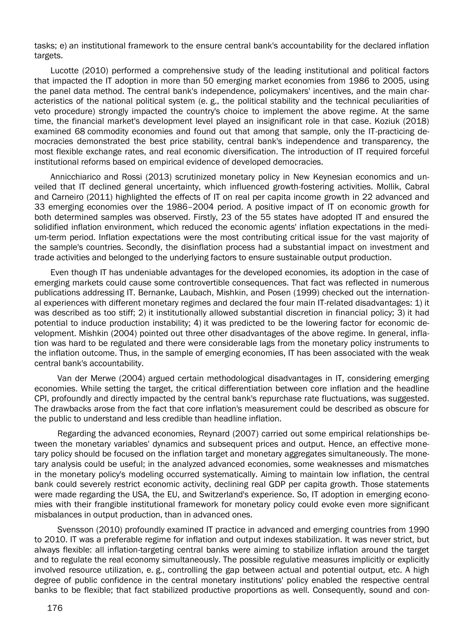tasks; e) an institutional framework to the ensure central bank's accountability for the declared inflation targets.

Lucotte (2010) performed a comprehensive study of the leading institutional and political factors that impacted the IT adoption in more than 50 emerging market economies from 1986 to 2005, using the panel data method. The central bank's independence, policymakers' incentives, and the main characteristics of the national political system (e. g., the political stability and the technical peculiarities of veto procedure) strongly impacted the country's choice to implement the above regime. At the same time, the financial market's development level played an insignificant role in that case. Koziuk (2018) examined 68 commodity economies and found out that among that sample, only the IT-practicing democracies demonstrated the best price stability, central bank's independence and transparency, the most flexible exchange rates, and real economic diversification. The introduction of IT required forceful institutional reforms based on empirical evidence of developed democracies.

Annicchiarico and Rossi (2013) scrutinized monetary policy in New Keynesian economics and unveiled that IT declined general uncertainty, which influenced growth-fostering activities. Mollik, Cabral and Carneiro (2011) highlighted the effects of IT on real per capita income growth in 22 advanced and 33 emerging economies over the 1986–2004 period. A positive impact of IT on economic growth for both determined samples was observed. Firstly, 23 of the 55 states have adopted IT and ensured the solidified inflation environment, which reduced the economic agents' inflation expectations in the medium-term period. Inflation expectations were the most contributing critical issue for the vast majority of the sample's countries. Secondly, the disinflation process had a substantial impact on investment and trade activities and belonged to the underlying factors to ensure sustainable output production.

Even though IT has undeniable advantages for the developed economies, its adoption in the case of emerging markets could cause some controvertible consequences. That fact was reflected in numerous publications addressing IT. Bernanke, Laubach, Mishkin, and Posen (1999) checked out the international experiences with different monetary regimes and declared the four main IT-related disadvantages: 1) it was described as too stiff; 2) it institutionally allowed substantial discretion in financial policy; 3) it had potential to induce production instability; 4) it was predicted to be the lowering factor for economic development. Mishkin (2004) pointed out three other disadvantages of the above regime. In general, inflation was hard to be regulated and there were considerable lags from the monetary policy instruments to the inflation outcome. Thus, in the sample of emerging economies, IT has been associated with the weak central bank's accountability.

Van der Merwe (2004) argued certain methodological disadvantages in IT, considering emerging economies. While setting the target, the critical differentiation between core inflation and the headline CPI, profoundly and directly impacted by the central bank's repurchase rate fluctuations, was suggested. The drawbacks arose from the fact that core inflation's measurement could be described as obscure for the public to understand and less credible than headline inflation.

Regarding the advanced economies, Reynard (2007) carried out some empirical relationships between the monetary variables' dynamics and subsequent prices and output. Hence, an effective monetary policy should be focused on the inflation target and monetary aggregates simultaneously. The monetary analysis could be useful; in the analyzed advanced economies, some weaknesses and mismatches in the monetary policy's modeling occurred systematically. Aiming to maintain low inflation, the central bank could severely restrict economic activity, declining real GDP per capita growth. Those statements were made regarding the USA, the EU, and Switzerland's experience. So, IT adoption in emerging economies with their frangible institutional framework for monetary policy could evoke even more significant misbalances in output production, than in advanced ones.

Svensson (2010) profoundly examined IT practice in advanced and emerging countries from 1990 to 2010. IT was a preferable regime for inflation and output indexes stabilization. It was never strict, but always flexible: all inflation-targeting central banks were aiming to stabilize inflation around the target and to regulate the real economy simultaneously. The possible regulative measures implicitly or explicitly involved resource utilization, e. g., controlling the gap between actual and potential output, etc. A high degree of public confidence in the central monetary institutions' policy enabled the respective central banks to be flexible; that fact stabilized productive proportions as well. Consequently, sound and con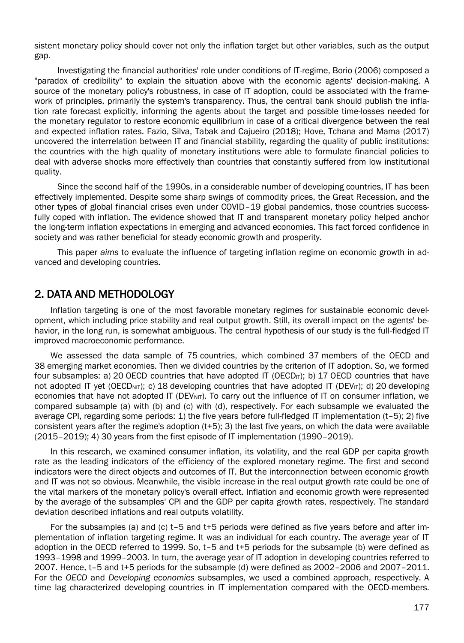sistent monetary policy should cover not only the inflation target but other variables, such as the output gap.

Investigating the financial authorities' role under conditions of IT-regime, Borio (2006) composed a "paradox of credibility" to explain the situation above with the economic agents' decision-making. A source of the monetary policy's robustness, in case of IT adoption, could be associated with the framework of principles, primarily the system's transparency. Thus, the central bank should publish the inflation rate forecast explicitly, informing the agents about the target and possible time-losses needed for the monetary regulator to restore economic equilibrium in case of a critical divergence between the real and expected inflation rates. Fazio, Silva, Tabak and Cajueiro (2018); Hove, Tchana and Mama (2017) uncovered the interrelation between IT and financial stability, regarding the quality of public institutions: the countries with the high quality of monetary institutions were able to formulate financial policies to deal with adverse shocks more effectively than countries that constantly suffered from low institutional quality.

Since the second half of the 1990s, in a considerable number of developing countries, IT has been effectively implemented. Despite some sharp swings of commodity prices, the Great Recession, and the other types of global financial crises even under COVID–19 global pandemics, those countries successfully coped with inflation. The evidence showed that IT and transparent monetary policy helped anchor the long-term inflation expectations in emerging and advanced economies. This fact forced confidence in society and was rather beneficial for steady economic growth and prosperity.

This paper *aims* to evaluate the influence of targeting inflation regime on economic growth in advanced and developing countries.

#### 2. DATA AND METHODOLOGY

Inflation targeting is one of the most favorable monetary regimes for sustainable economic development, which including price stability and real output growth. Still, its overall impact on the agents' behavior, in the long run, is somewhat ambiguous. The central hypothesis of our study is the full-fledged IT improved macroeconomic performance.

We assessed the data sample of 75 countries, which combined 37 members of the OECD and 38 emerging market economies. Then we divided countries by the criterion of IT adoption. So, we formed four subsamples: a) 20 OECD countries that have adopted IT (OECD<sub>IT</sub>); b) 17 OECD countries that have not adopted IT yet (OECD<sub>NIT</sub>); c) 18 developing countries that have adopted IT (DEV<sub>IT</sub>); d) 20 developing economies that have not adopted IT (DEV<sub>NIT</sub>). To carry out the influence of IT on consumer inflation, we compared subsample (a) with (b) and (c) with (d), respectively. For each subsample we evaluated the average CPI, regarding some periods: 1) the five years before full-fledged IT implementation (t–5); 2) five consistent years after the regime's adoption (t+5); 3) the last five years, on which the data were available (2015–2019); 4) 30 years from the first episode of IT implementation (1990–2019).

In this research, we examined consumer inflation, its volatility, and the real GDP per capita growth rate as the leading indicators of the efficiency of the explored monetary regime. The first and second indicators were the direct objects and outcomes of IT. But the interconnection between economic growth and IT was not so obvious. Meanwhile, the visible increase in the real output growth rate could be one of the vital markers of the monetary policy's overall effect. Inflation and economic growth were represented by the average of the subsamples' CPI and the GDP per capita growth rates, respectively. The standard deviation described inflations and real outputs volatility.

For the subsamples (a) and (c) t–5 and t+5 periods were defined as five years before and after implementation of inflation targeting regime. It was an individual for each country. The average year of IT adoption in the OECD referred to 1999. So, t–5 and t+5 periods for the subsample (b) were defined as 1993–1998 and 1999–2003. In turn, the average year of IT adoption in developing countries referred to 2007. Hence, t–5 and t+5 periods for the subsample (d) were defined as 2002–2006 and 2007–2011. For the *OECD* and *Developing economies* subsamples, we used a combined approach, respectively. A time lag characterized developing countries in IT implementation compared with the OECD-members.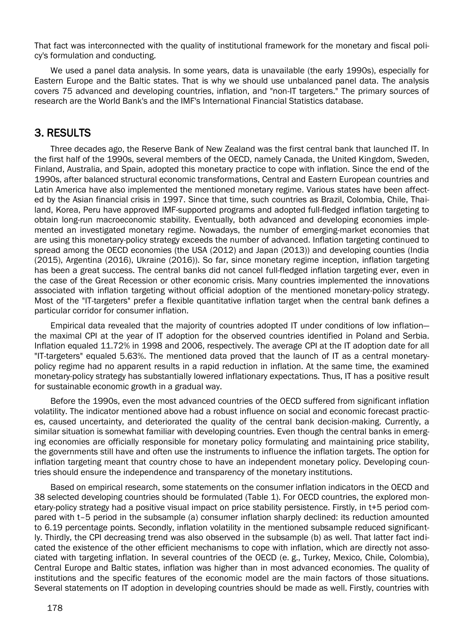That fact was interconnected with the quality of institutional framework for the monetary and fiscal policy's formulation and conducting.

We used a panel data analysis. In some years, data is unavailable (the early 1990s), especially for Eastern Europe and the Baltic states. That is why we should use unbalanced panel data. The analysis covers 75 advanced and developing countries, inflation, and "non-IT targeters." The primary sources of research are the World Bank's and the IMF's International Financial Statistics database.

#### 3. RESULTS

Three decades ago, the Reserve Bank of New Zealand was the first central bank that launched IT. In the first half of the 1990s, several members of the OECD, namely Canada, the United Kingdom, Sweden, Finland, Australia, and Spain, adopted this monetary practice to cope with inflation. Since the end of the 1990s, after balanced structural economic transformations, Central and Eastern European countries and Latin America have also implemented the mentioned monetary regime. Various states have been affected by the Asian financial crisis in 1997. Since that time, such countries as Brazil, Colombia, Chile, Thailand, Korea, Peru have approved IMF-supported programs and adopted full-fledged inflation targeting to obtain long-run macroeconomic stability. Eventually, both advanced and developing economies implemented an investigated monetary regime. Nowadays, the number of emerging-market economies that are using this monetary-policy strategy exceeds the number of advanced. Inflation targeting continued to spread among the OECD economies (the USA (2012) and Japan (2013)) and developing counties (India (2015), Argentina (2016), Ukraine (2016)). So far, since monetary regime inception, inflation targeting has been a great success. The central banks did not cancel full-fledged inflation targeting ever, even in the case of the Great Recession or other economic crisis. Many countries implemented the innovations associated with inflation targeting without official adoption of the mentioned monetary-policy strategy. Most of the "IT-targeters" prefer a flexible quantitative inflation target when the central bank defines a particular corridor for consumer inflation.

Empirical data revealed that the majority of countries adopted IT under conditions of low inflation the maximal CPI at the year of IT adoption for the observed countries identified in Poland and Serbia. Inflation equaled 11.72% in 1998 and 2006, respectively. The average CPI at the IT adoption date for all "IT-targeters" equaled 5.63%. The mentioned data proved that the launch of IT as a central monetarypolicy regime had no apparent results in a rapid reduction in inflation. At the same time, the examined monetary-policy strategy has substantially lowered inflationary expectations. Thus, IT has a positive result for sustainable economic growth in a gradual way.

Before the 1990s, even the most advanced countries of the OECD suffered from significant inflation volatility. The indicator mentioned above had a robust influence on social and economic forecast practices, caused uncertainty, and deteriorated the quality of the central bank decision-making. Currently, a similar situation is somewhat familiar with developing countries. Even though the central banks in emerging economies are officially responsible for monetary policy formulating and maintaining price stability, the governments still have and often use the instruments to influence the inflation targets. The option for inflation targeting meant that country chose to have an independent monetary policy. Developing countries should ensure the independence and transparency of the monetary institutions.

Based on empirical research, some statements on the consumer inflation indicators in the OECD and 38 selected developing countries should be formulated (Table 1). For OECD countries, the explored monetary-policy strategy had a positive visual impact on price stability persistence. Firstly, in t+5 period compared with t–5 period in the subsample (a) consumer inflation sharply declined: its reduction amounted to 6.19 percentage points. Secondly, inflation volatility in the mentioned subsample reduced significantly. Thirdly, the CPI decreasing trend was also observed in the subsample (b) as well. That latter fact indicated the existence of the other efficient mechanisms to cope with inflation, which are directly not associated with targeting inflation. In several countries of the OECD (e. g., Turkey, Mexico, Chile, Colombia), Central Europe and Baltic states, inflation was higher than in most advanced economies. The quality of institutions and the specific features of the economic model are the main factors of those situations. Several statements on IT adoption in developing countries should be made as well. Firstly, countries with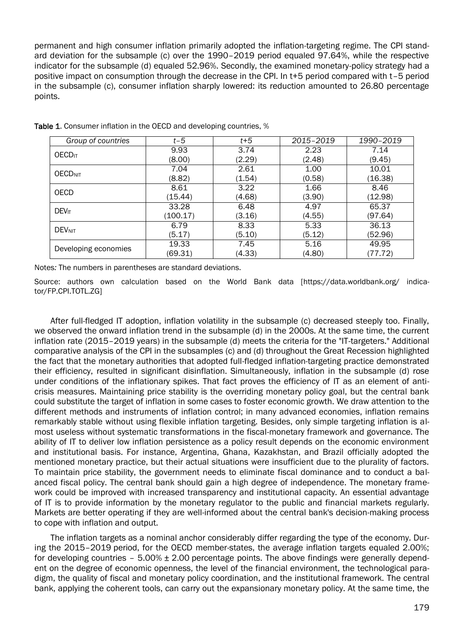permanent and high consumer inflation primarily adopted the inflation-targeting regime. The CPI standard deviation for the subsample (c) over the 1990–2019 period equaled 97.64%, while the respective indicator for the subsample (d) equaled 52.96%. Secondly, the examined monetary-policy strategy had a positive impact on consumption through the decrease in the CPI. In t+5 period compared with t–5 period in the subsample (c), consumer inflation sharply lowered: its reduction amounted to 26.80 percentage points.

| Group of countries        | $t-5$    | $t+5$  | 2015-2019 | 1990-2019 |  |
|---------------------------|----------|--------|-----------|-----------|--|
| <b>OECD</b> <sub>IT</sub> | 9.93     | 3.74   | 2.23      | 7.14      |  |
|                           | (8.00)   | (2.29) | (2.48)    | (9.45)    |  |
| <b>OECDNIT</b>            | 7.04     | 2.61   | 1.00      | 10.01     |  |
|                           | (8.82)   | (1.54) | (0.58)    | (16.38)   |  |
| <b>OECD</b>               | 8.61     | 3.22   | 1.66      | 8.46      |  |
|                           | (15.44)  | (4.68) | (3.90)    | (12.98)   |  |
| DEV <sub>IT</sub>         | 33.28    | 6.48   | 4.97      | 65.37     |  |
|                           | (100.17) | (3.16) | (4.55)    | (97.64)   |  |
| <b>DEVNIT</b>             | 6.79     | 8.33   | 5.33      | 36.13     |  |
|                           | (5.17)   | (5.10) | (5.12)    | (52.96)   |  |
| Developing economies      | 19.33    | 7.45   | 5.16      | 49.95     |  |
|                           | (69.31)  | (4.33) | (4.80)    | (77.72)   |  |

Table 1. Consumer inflation in the OECD and developing countries, %

Notes*:* The numbers in parentheses are standard deviations.

Source: authors own calculation based on the World Bank data [https://data.worldbank.org/ indicator/FP.CPI.TOTL.ZG]

After full-fledged IT adoption, inflation volatility in the subsample (c) decreased steeply too. Finally, we observed the onward inflation trend in the subsample (d) in the 2000s. At the same time, the current inflation rate (2015–2019 years) in the subsample (d) meets the criteria for the "IT-targeters." Additional comparative analysis of the CPI in the subsamples (c) and (d) throughout the Great Recession highlighted the fact that the monetary authorities that adopted full-fledged inflation-targeting practice demonstrated their efficiency, resulted in significant disinflation. Simultaneously, inflation in the subsample (d) rose under conditions of the inflationary spikes. That fact proves the efficiency of IT as an element of anticrisis measures. Maintaining price stability is the overriding monetary policy goal, but the central bank could substitute the target of inflation in some cases to foster economic growth. We draw attention to the different methods and instruments of inflation control; in many advanced economies, inflation remains remarkably stable without using flexible inflation targeting. Besides, only simple targeting inflation is almost useless without systematic transformations in the fiscal-monetary framework and governance. The ability of IT to deliver low inflation persistence as a policy result depends on the economic environment and institutional basis. For instance, Argentina, Ghana, Kazakhstan, and Brazil officially adopted the mentioned monetary practice, but their actual situations were insufficient due to the plurality of factors. To maintain price stability, the government needs to eliminate fiscal dominance and to conduct a balanced fiscal policy. The central bank should gain a high degree of independence. The monetary framework could be improved with increased transparency and institutional capacity. An essential advantage of IT is to provide information by the monetary regulator to the public and financial markets regularly. Markets are better operating if they are well-informed about the central bank's decision-making process to cope with inflation and output.

The inflation targets as a nominal anchor considerably differ regarding the type of the economy. During the 2015–2019 period, for the OECD member-states, the average inflation targets equaled 2.00%; for developing countries  $-5.00\% \pm 2.00$  percentage points. The above findings were generally dependent on the degree of economic openness, the level of the financial environment, the technological paradigm, the quality of fiscal and monetary policy coordination, and the institutional framework. The central bank, applying the coherent tools, can carry out the expansionary monetary policy. At the same time, the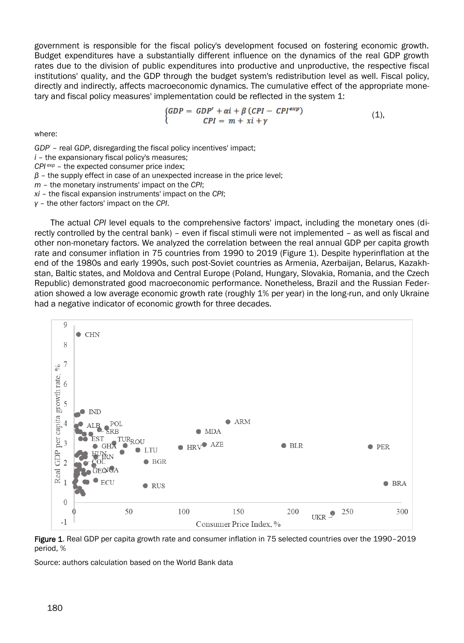government is responsible for the fiscal policy's development focused on fostering economic growth. Budget expenditures have a substantially different influence on the dynamics of the real GDP growth rates due to the division of public expenditures into productive and unproductive, the respective fiscal institutions' quality, and the GDP through the budget system's redistribution level as well. Fiscal policy, directly and indirectly, affects macroeconomic dynamics. The cumulative effect of the appropriate monetary and fiscal policy measures' implementation could be reflected in the system 1:

$$
\begin{cases}\nGDP = GDP' + \alpha i + \beta (CPI - CPI^{exp}) \\
CPI = m + xi + \gamma\n\end{cases}
$$
\n(1),

where:

*GDP'* – real *GDP*, disregarding the fiscal policy incentives' impact;

*i* – the expansionary fiscal policy's measures;

*CPI exp* – the expected consumer price index;

*β* – the supply effect in case of an unexpected increase in the price level;

*m* – the monetary instruments' impact on the *CPI*;

*xi* – the fiscal expansion instruments' impact on the *CPI*;

*γ* – the other factors' impact on the *CPI*.

The actual *CPI* level equals to the comprehensive factors' impact, including the monetary ones (directly controlled by the central bank) – even if fiscal stimuli were not implemented – as well as fiscal and other non-monetary factors. We analyzed the correlation between the real annual GDP per capita growth rate and consumer inflation in 75 countries from 1990 to 2019 (Figure 1). Despite hyperinflation at the end of the 1980s and early 1990s, such post-Soviet countries as Armenia, Azerbaijan, Belarus, Kazakhstan, Baltic states, and Moldova and Central Europe (Poland, Hungary, Slovakia, Romania, and the [Czech](https://en.wikipedia.org/wiki/Czech_Republic)  [Republic\)](https://en.wikipedia.org/wiki/Czech_Republic) demonstrated good macroeconomic performance. Nonetheless, Brazil and the Russian Federation showed a low average economic growth rate (roughly 1% per year) in the long-run, and only Ukraine had a negative indicator of economic growth for three decades.



Figure 1. Real GDP per capita growth rate and consumer inflation in 75 selected countries over the 1990-2019 period, %

Source: authors calculation based on the World Bank data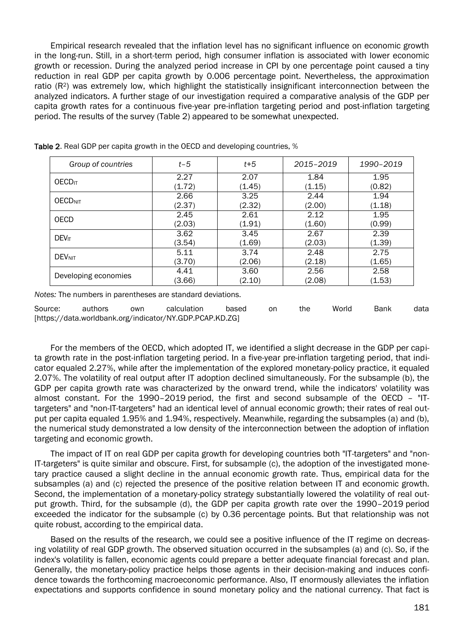Empirical research revealed that the inflation level has no significant influence on economic growth in the long-run. Still, in a short-term period, high consumer inflation is associated with lower economic growth or recession. During the analyzed period increase in CPI by one percentage point caused a tiny reduction in real GDP per capita growth by 0.006 percentage point. Nevertheless, the approximation ratio (R<sup>2</sup>) was extremely low, which highlight the statistically insignificant interconnection between the analyzed indicators. A further stage of our investigation required a comparative analysis of the GDP per capita growth rates for a continuous five-year pre-inflation targeting period and post-inflation targeting period. The results of the survey (Table 2) appeared to be somewhat unexpected.

| Group of countries        | $t-5$  | $t+5$  | 2015-2019 | 1990-2019 |  |
|---------------------------|--------|--------|-----------|-----------|--|
| <b>OECD</b> <sub>IT</sub> | 2.27   | 2.07   | 1.84      | 1.95      |  |
|                           | (1.72) | (1.45) | (1.15)    | (0.82)    |  |
| <b>OECD<sub>NIT</sub></b> | 2.66   | 3.25   | 2.44      | 1.94      |  |
|                           | (2.37) | (2.32) | (2.00)    | (1.18)    |  |
| OECD                      | 2.45   | 2.61   | 2.12      | 1.95      |  |
|                           | (2.03) | (1.91) | (1.60)    | (0.99)    |  |
| <b>DEV<sub>IT</sub></b>   | 3.62   | 3.45   | 2.67      | 2.39      |  |
|                           | (3.54) | (1.69) | (2.03)    | (1.39)    |  |
| <b>DEVNIT</b>             | 5.11   | 3.74   | 2.48      | 2.75      |  |
|                           | (3.70) | (2.06) | (2.18)    | (1.65)    |  |
|                           | 4.41   | 3.60   | 2.56      | 2.58      |  |
| Developing economies      | (3.66) | (2.10) | (2.08)    | (1.53)    |  |

Table 2. Real GDP per capita growth in the OECD and developing countries, %

*Notes:* The numbers in parentheses are standard deviations.

Source: authors own calculation based on the World Bank data [https://data.worldbank.org/indicator/NY.GDP.PCAP.KD.ZG]

For the members of the OECD, which adopted IT, we identified a slight decrease in the GDP per capita growth rate in the post-inflation targeting period. In a five-year pre-inflation targeting period, that indicator equaled 2.27%, while after the implementation of the explored monetary-policy practice, it equaled 2.07%. The volatility of real output after IT adoption declined simultaneously. For the subsample (b), the GDP per capita growth rate was characterized by the onward trend, while the indicators' volatility was almost constant. For the 1990–2019 period, the first and second subsample of the OECD – "ITtargeters" and "non-IT-targeters" had an identical level of annual economic growth; their rates of real output per capita equaled 1.95% and 1.94%, respectively. Meanwhile, regarding the subsamples (a) and (b), the numerical study demonstrated a low density of the interconnection between the adoption of inflation targeting and economic growth.

The impact of IT on real GDP per capita growth for developing countries both "IT-targeters" and "non-IT-targeters" is quite similar and obscure. First, for subsample (c), the adoption of the investigated monetary practice caused a slight decline in the annual economic growth rate. Thus, empirical data for the subsamples (a) and (c) rejected the presence of the positive relation between IT and economic growth. Second, the implementation of a monetary-policy strategy substantially lowered the volatility of real output growth. Third, for the subsample (d), the GDP per capita growth rate over the 1990–2019 period exceeded the indicator for the subsample (c) by 0.36 percentage points. But that relationship was not quite robust, according to the empirical data.

Based on the results of the research, we could see a positive influence of the IT regime on decreasing volatility of real GDP growth. The observed situation occurred in the subsamples (a) and (c). So, if the index's volatility is fallen, economic agents could prepare a better adequate financial forecast and plan. Generally, the monetary-policy practice helps those agents in their decision-making and induces confidence towards the forthcoming macroeconomic performance. Also, IT enormously alleviates the inflation expectations and supports confidence in sound monetary policy and the national currency. That fact is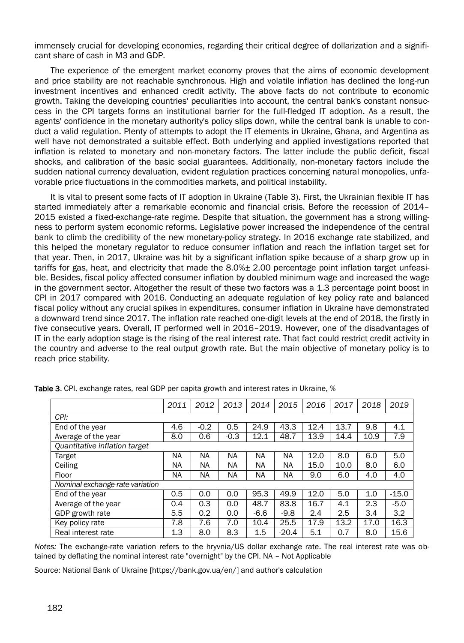immensely crucial for developing economies, regarding their critical degree of dollarization and a significant share of cash in M3 and GDP.

The experience of the emergent market economy proves that the aims of economic development and price stability are not reachable synchronous. High and volatile inflation has declined the long-run investment incentives and enhanced credit activity. The above facts do not contribute to economic growth. Taking the developing countries' peculiarities into account, the central bank's constant nonsuccess in the CPI targets forms an institutional barrier for the full-fledged IT adoption. As a result, the agents' confidence in the monetary authority's policy slips down, while the central bank is unable to conduct a valid regulation. Plenty of attempts to adopt the IT elements in Ukraine, Ghana, and Argentina as well have not demonstrated a suitable effect. Both underlying and applied investigations reported that inflation is related to monetary and non-monetary factors. The latter include the public deficit, fiscal shocks, and calibration of the basic social guarantees. Additionally, non-monetary factors include the sudden national currency devaluation, evident regulation practices concerning natural monopolies, unfavorable price fluctuations in the commodities markets, and political instability.

It is vital to present some facts of IT adoption in Ukraine (Table 3). First, the Ukrainian flexible IT has started immediately after a remarkable economic and financial crisis. Before the recession of 2014– 2015 existed a fixed-exchange-rate regime. Despite that situation, the government has a strong willingness to perform system economic reforms. Legislative power increased the independence of the central bank to climb the credibility of the new monetary-policy strategy. In 2016 exchange rate stabilized, and this helped the monetary regulator to reduce consumer inflation and reach the inflation target set for that year. Then, in 2017, Ukraine was hit by a significant inflation spike because of a sharp grow up in tariffs for gas, heat, and electricity that made the 8.0% $\pm$  2.00 percentage point inflation target unfeasible. Besides, fiscal policy affected consumer inflation by doubled minimum wage and increased the wage in the government sector. Altogether the result of these two factors was a 1.3 percentage point boost in CPI in 2017 compared with 2016. Conducting an adequate regulation of key policy rate and balanced fiscal policy without any crucial spikes in expenditures, consumer inflation in Ukraine have demonstrated a downward trend since 2017. The inflation rate reached one-digit levels at the end of 2018, the firstly in five consecutive years. Overall, IT performed well in 2016–2019. However, one of the disadvantages of IT in the early adoption stage is the rising of the real interest rate. That fact could restrict credit activity in the country and adverse to the real output growth rate. But the main objective of monetary policy is to reach price stability.

|                                 | 2011 | 2012   | 2013   | 2014      | 2015    | 2016 | 2017 | 2018 | 2019    |
|---------------------------------|------|--------|--------|-----------|---------|------|------|------|---------|
| CPI:                            |      |        |        |           |         |      |      |      |         |
| End of the year                 | 4.6  | $-0.2$ | 0.5    | 24.9      | 43.3    | 12.4 | 13.7 | 9.8  | 4.1     |
| Average of the year             | 8.0  | 0.6    | $-0.3$ | 12.1      | 48.7    | 13.9 | 14.4 | 10.9 | 7.9     |
| Quantitative inflation target   |      |        |        |           |         |      |      |      |         |
| Target                          | NA   | NA     | ΝA     | <b>NA</b> | ΝA      | 12.0 | 8.0  | 6.0  | 5.0     |
| Ceiling                         | NA   | NA     | ΝA     | ΝA        | ΝA      | 15.0 | 10.0 | 8.0  | 6.0     |
| Floor                           | ΝA   | NA     | ΝA     | NA        | NA      | 9.0  | 6.0  | 4.0  | 4.0     |
| Nominal exchange-rate variation |      |        |        |           |         |      |      |      |         |
| End of the year                 | 0.5  | 0.0    | 0.0    | 95.3      | 49.9    | 12.0 | 5.0  | 1.0  | $-15.0$ |
| Average of the year             | 0.4  | 0.3    | 0.0    | 48.7      | 83.8    | 16.7 | 4.1  | 2.3  | $-5.0$  |
| GDP growth rate                 | 5.5  | 0.2    | 0.0    | $-6.6$    | $-9.8$  | 2.4  | 2.5  | 3.4  | 3.2     |
| Key policy rate                 | 7.8  | 7.6    | 7.0    | 10.4      | 25.5    | 17.9 | 13.2 | 17.0 | 16.3    |
| Real interest rate              | 1.3  | 8.0    | 8.3    | 1.5       | $-20.4$ | 5.1  | 0.7  | 8.0  | 15.6    |

Table 3. CPI, exchange rates, real GDP per capita growth and interest rates in Ukraine, %

*Notes:* The exchange-rate variation refers to the hryvnia/US dollar exchange rate. The real interest rate was obtained by deflating the nominal interest rate "overnight" by the CPI. NA – Not Applicable

Source: National Bank of Ukraine [https://bank.gov.ua/en/] and author's calculation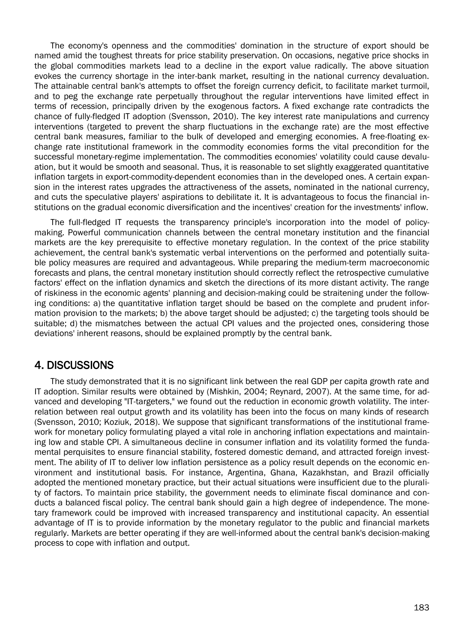The economy's openness and the commodities' domination in the structure of export should be named amid the toughest threats for price stability preservation. On occasions, negative price shocks in the global commodities markets lead to a decline in the export value radically. The above situation evokes the currency shortage in the inter-bank market, resulting in the national currency devaluation. The attainable central bank's attempts to offset the foreign currency deficit, to facilitate market turmoil, and to peg the exchange rate perpetually throughout the regular interventions have limited effect in terms of recession, principally driven by the exogenous factors. A fixed exchange rate contradicts the chance of fully-fledged IT adoption (Svensson, 2010). The key interest rate manipulations and currency interventions (targeted to prevent the sharp fluctuations in the exchange rate) are the most effective central bank measures, familiar to the bulk of developed and emerging economies. A free-floating exchange rate institutional framework in the commodity economies forms the vital precondition for the successful monetary-regime implementation. The commodities economies' volatility could cause devaluation, but it would be smooth and seasonal. Thus, it is reasonable to set slightly exaggerated quantitative inflation targets in export-commodity-dependent economies than in the developed ones. A certain expansion in the interest rates upgrades the attractiveness of the assets, nominated in the national currency, and cuts the speculative players' aspirations to debilitate it. It is advantageous to focus the financial institutions on the gradual economic diversification and the incentives' creation for the investments' inflow.

The full-fledged IT requests the transparency principle's incorporation into the model of policymaking. Powerful communication channels between the central monetary institution and the financial markets are the key prerequisite to effective monetary regulation. In the context of the price stability achievement, the central bank's systematic verbal interventions on the performed and potentially suitable policy measures are required and advantageous. While preparing the medium-term macroeconomic forecasts and plans, the central monetary institution should correctly reflect the retrospective cumulative factors' effect on the inflation dynamics and sketch the directions of its more distant activity. The range of riskiness in the economic agents' planning and decision-making could be straitening under the following conditions: a) the quantitative inflation target should be based on the complete and prudent information provision to the markets; b) the above target should be adjusted; c) the targeting tools should be suitable; d) the mismatches between the actual CPI values and the projected ones, considering those deviations' inherent reasons, should be explained promptly by the central bank.

#### 4. DISCUSSIONS

The study demonstrated that it is no significant link between the real GDP per capita growth rate and IT adoption. Similar results were obtained by (Mishkin, 2004; Reynard, 2007). At the same time, for advanced and developing "IT-targeters," we found out the reduction in economic growth volatility. The interrelation between real output growth and its volatility has been into the focus on many kinds of research (Svensson, 2010; Koziuk, 2018). We suppose that significant transformations of the institutional framework for monetary policy formulating played a vital role in anchoring inflation expectations and maintaining low and stable CPI. A simultaneous decline in consumer inflation and its volatility formed the fundamental perquisites to ensure financial stability, fostered domestic demand, and attracted foreign investment. The ability of IT to deliver low inflation persistence as a policy result depends on the economic environment and institutional basis. For instance, Argentina, Ghana, Kazakhstan, and Brazil officially adopted the mentioned monetary practice, but their actual situations were insufficient due to the plurality of factors. To maintain price stability, the government needs to eliminate fiscal dominance and conducts a balanced fiscal policy. The central bank should gain a high degree of independence. The monetary framework could be improved with increased transparency and institutional capacity. An essential advantage of IT is to provide information by the monetary regulator to the public and financial markets regularly. Markets are better operating if they are well-informed about the central bank's decision-making process to cope with inflation and output.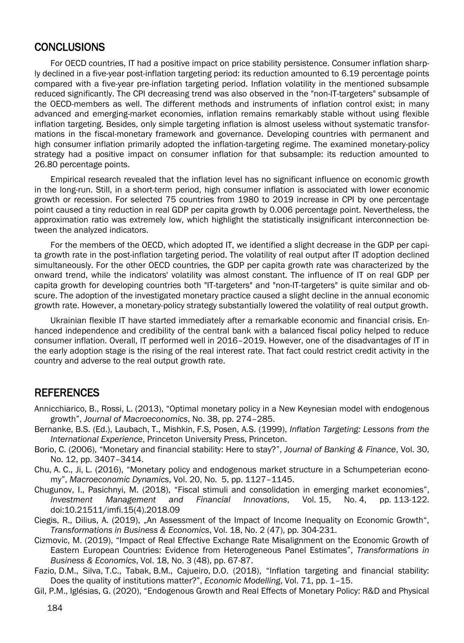#### **CONCLUSIONS**

For OECD countries, IT had a positive impact on price stability persistence. Consumer inflation sharply declined in a five-year post-inflation targeting period: its reduction amounted to 6.19 percentage points compared with a five-year pre-inflation targeting period. Inflation volatility in the mentioned subsample reduced significantly. The CPI decreasing trend was also observed in the "non-IT-targeters" subsample of the OECD-members as well. The different methods and instruments of inflation control exist; in many advanced and emerging-market economies, inflation remains remarkably stable without using flexible inflation targeting. Besides, only simple targeting inflation is almost useless without systematic transformations in the fiscal-monetary framework and governance. Developing countries with permanent and high consumer inflation primarily adopted the inflation-targeting regime. The examined monetary-policy strategy had a positive impact on consumer inflation for that subsample: its reduction amounted to 26.80 percentage points.

Empirical research revealed that the inflation level has no significant influence on economic growth in the long-run. Still, in a short-term period, high consumer inflation is associated with lower economic growth or recession. For selected 75 countries from 1980 to 2019 increase in CPI by one percentage point caused a tiny reduction in real GDP per capita growth by 0.006 percentage point. Nevertheless, the approximation ratio was extremely low, which highlight the statistically insignificant interconnection between the analyzed indicators.

For the members of the OECD, which adopted IT, we identified a slight decrease in the GDP per capita growth rate in the post-inflation targeting period. The volatility of real output after IT adoption declined simultaneously. For the other OECD countries, the GDP per capita growth rate was characterized by the onward trend, while the indicators' volatility was almost constant. The influence of IT on real GDP per capita growth for developing countries both "IT-targeters" and "non-IT-targeters" is quite similar and obscure. The adoption of the investigated monetary practice caused a slight decline in the annual economic growth rate. However, a monetary-policy strategy substantially lowered the volatility of real output growth.

Ukrainian flexible IT have started immediately after a remarkable economic and financial crisis. Enhanced independence and credibility of the central bank with a balanced fiscal policy helped to reduce consumer inflation. Overall, IT performed well in 2016–2019. However, one of the disadvantages of IT in the early adoption stage is the rising of the real interest rate. That fact could restrict credit activity in the country and adverse to the real output growth rate.

#### **REFERENCES**

- Annicchiarico, B., Rossi, L. (2013), "Optimal monetary policy in a New Keynesian model with endogenous growth", *Journal of Macroeconomics*, No. 38, pp. 274–285.
- Bernanke, B.S. (Ed.), Laubach, T., Mishkin, F.S, Posen, A.S. (1999), *Inflation Targeting: Lessons from the International Experience*, Princeton University Press, Princeton.
- Borio, C. (2006), "Monetary and financial stability: Here to stay?", *Journal of Banking & Finance*, Vol. 30, No. 12, pp. 3407–3414.
- Chu, A. C., Ji, L. (2016), "Monetary policy and endogenous market structure in a Schumpeterian economy", *Macroeconomic Dynamics*, Vol. 20, No. 5, pp. 1127–1145.
- Chugunov, I., Pasichnyi, M. (2018), "Fiscal stimuli and consolidation in emerging market economies", *Investment Management and Financial Innovations*, Vol. 15, No. 4, pp. 113-122. doi:10.21511/imfi.15(4).2018.09
- Ciegis, R., Dilius, A. (2019), "An Assessment of the Impact of Income Inequality on Economic Growth", *Transformations in Business & Economics*, Vol. 18, No. 2 (47), pp. 304-231.
- Cizmovic, M. (2019), "Impact of Real Effective Exchange Rate Misalignment on the Economic Growth of Eastern European Countries: Evidence from Heterogeneous Panel Estimates", *Transformations in Business & Economics*, Vol. 18, No. 3 (48), pp. 67-87.
- Fazio, D.M., Silva, T.C., Tabak, B.M., Cajueiro, D.O. (2018), "Inflation targeting and financial stability: Does the quality of institutions matter?", *Economic Modelling*, Vol. 71, pp. 1–15.
- Gil, P.M., Iglésias, G. (2020), "Endogenous Growth and Real Effects of Monetary Policy: R&D and Physical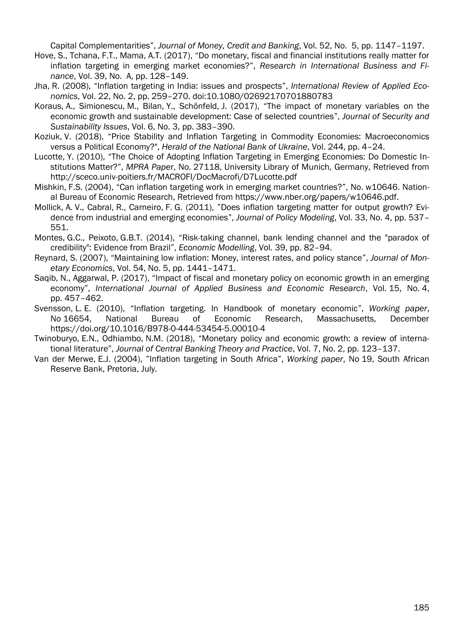Capital Complementarities", *Journal of Money, Credit and Banking*, Vol. 52, No. 5, pp. 1147–1197.

- Hove, S., Tchana, F.T., Mama, A.T. (2017), "Do monetary, fiscal and financial institutions really matter for inflation targeting in emerging market economies?", *Research in International Business and Finance*, Vol. 39, No. A, pp. 128–149.
- Jha, R. (2008), "Inflation targeting in India: issues and prospects", *International Review of Applied Economics*, Vol. 22, No. 2, pp. 259–270. doi:10.1080/02692170701880783
- Koraus, A., Simionescu, M., Bilan, Y., Schönfeld, J. (2017), "The impact of monetary variables on the economic growth and sustainable development: Case of selected countries", *Journal of Security and Sustainability Issues*, Vol. 6, No. 3, pp. 383–390.
- Koziuk, V. (2018), "Price Stability and Inflation Targeting in Commodity Economies: Macroeconomics versus a Political Economy?", *Herald of the National Bank of Ukraine*, Vol. 244, pp. 4–24.
- Lucotte, Y. (2010), "The Choice of Adopting Inflation Targeting in Emerging Economies: Do Domestic Institutions Matter?", *MPRA Pap*er, No. 27118, University Library of Munich, Germany, Retrieved from http://sceco.univ-poitiers.fr/MACROFI/DocMacrofi/D7Lucotte.pdf
- Mishkin, F.S. (2004), "Can inflation targeting work in emerging market countries?", No. w10646. National Bureau of Economic Research, Retrieved from https://www.nber.org/papers/w10646.pdf.
- Mollick, A. V., Cabral, R., Carneiro, F. G. (2011), "Does inflation targeting matter for output growth? Evidence from industrial and emerging economies", *Journal of Policy Modeling*, Vol. 33, No. 4, pp. 537– 551.
- Montes, G.C., Peixoto, G.B.T. (2014), "Risk-taking channel, bank lending channel and the "paradox of credibility": Evidence from Brazil", *Economic Modelling*, Vol. 39, pp. 82–94.
- Reynard, S. (2007), "Maintaining low inflation: Money, interest rates, and policy stance", *Journal of Monetary Economics*, Vol. 54, No. 5, pp. 1441–1471.
- Saqib, N., Aggarwal, P. (2017), "Impact of fiscal and monetary policy on economic growth in an emerging economy", *International Journal of Applied Business and Economic Research*, Vol. 15, No. 4, pp. 457–462.
- Svensson, L. E. (2010), "Inflation targeting. In Handbook of monetary economic", *Working paper*, No 16654, National Bureau of Economic Research, Massachusetts, December https://doi.org/10.1016/B978-0-444-53454-5.00010-4
- Twinoburyo, E.N., Odhiambo, N.M. (2018), "Monetary policy and economic growth: a review of international literature", *Journal of Central Banking Theory and Practice*, Vol. 7, No. 2, pp. 123–137.
- Van der Merwe, E.J. (2004), "Inflation targeting in South Africa", *Working paper*, No 19, South African Reserve Bank, Pretoria, July.